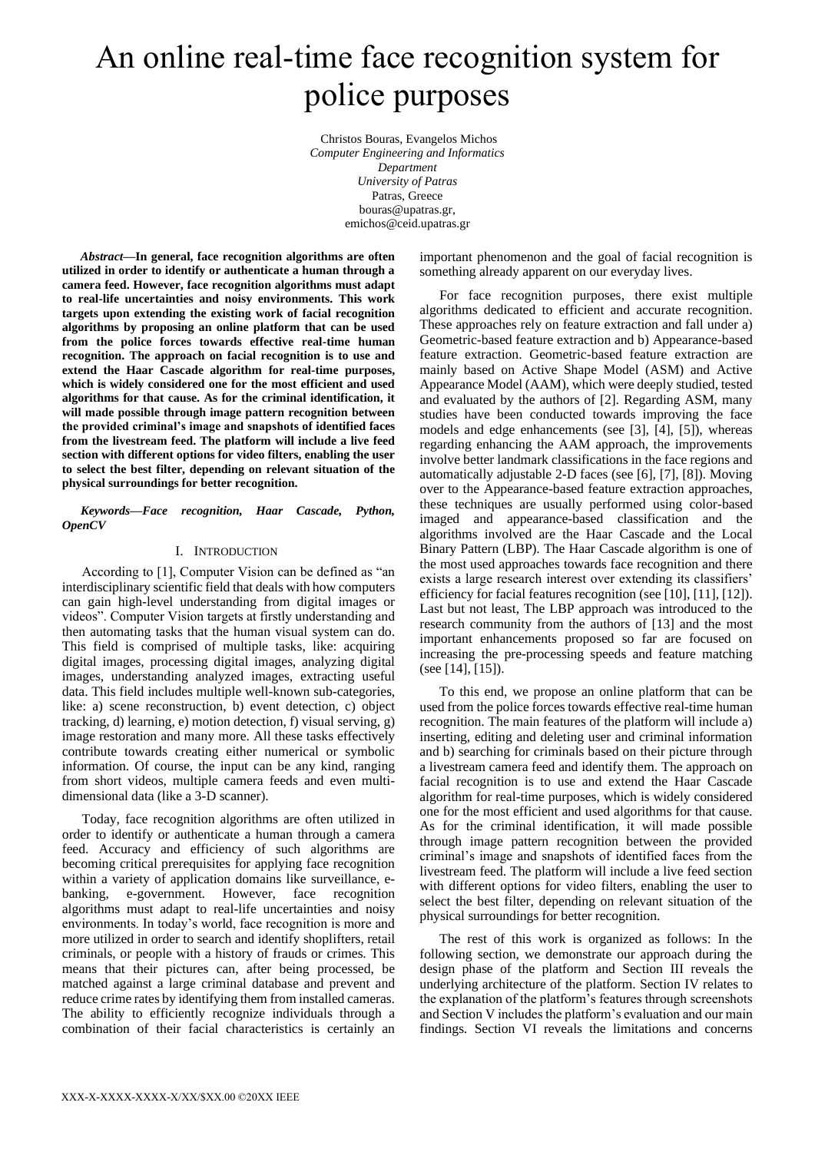# An online real-time face recognition system for police purposes

Christos Bouras, Evangelos Michos *Computer Engineering and Informatics Department University of Patras* Patras, Greece bouras@upatras.gr, emichos@ceid.upatras.gr

*Abstract***—In general, face recognition algorithms are often utilized in order to identify or authenticate a human through a camera feed. However, face recognition algorithms must adapt to real-life uncertainties and noisy environments. This work targets upon extending the existing work of facial recognition algorithms by proposing an online platform that can be used from the police forces towards effective real-time human recognition. The approach on facial recognition is to use and extend the Haar Cascade algorithm for real-time purposes, which is widely considered one for the most efficient and used algorithms for that cause. As for the criminal identification, it will made possible through image pattern recognition between the provided criminal's image and snapshots of identified faces from the livestream feed. The platform will include a live feed section with different options for video filters, enabling the user to select the best filter, depending on relevant situation of the physical surroundings for better recognition.**

*Keywords—Face recognition, Haar Cascade, Python, OpenCV*

## I. INTRODUCTION

According to [1], Computer Vision can be defined as "an interdisciplinary scientific field that deals with how computers can gain high-level understanding from digital images or videos". Computer Vision targets at firstly understanding and then automating tasks that the human visual system can do. This field is comprised of multiple tasks, like: acquiring digital images, processing digital images, analyzing digital images, understanding analyzed images, extracting useful data. This field includes multiple well-known sub-categories, like: a) scene reconstruction, b) event detection, c) object tracking, d) learning, e) motion detection, f) visual serving, g) image restoration and many more. All these tasks effectively contribute towards creating either numerical or symbolic information. Of course, the input can be any kind, ranging from short videos, multiple camera feeds and even multidimensional data (like a 3-D scanner).

Today, face recognition algorithms are often utilized in order to identify or authenticate a human through a camera feed. Accuracy and efficiency of such algorithms are becoming critical prerequisites for applying face recognition within a variety of application domains like surveillance, ebanking, e-government. However, face recognition algorithms must adapt to real-life uncertainties and noisy environments. In today's world, face recognition is more and more utilized in order to search and identify shoplifters, retail criminals, or people with a history of frauds or crimes. This means that their pictures can, after being processed, be matched against a large criminal database and prevent and reduce crime rates by identifying them from installed cameras. The ability to efficiently recognize individuals through a combination of their facial characteristics is certainly an

important phenomenon and the goal of facial recognition is something already apparent on our everyday lives.

For face recognition purposes, there exist multiple algorithms dedicated to efficient and accurate recognition. These approaches rely on feature extraction and fall under a) Geometric-based feature extraction and b) Appearance-based feature extraction. Geometric-based feature extraction are mainly based on Active Shape Model (ASM) and Active Appearance Model (AAM), which were deeply studied, tested and evaluated by the authors of [2]. Regarding ASM, many studies have been conducted towards improving the face models and edge enhancements (see [3], [4], [5]), whereas regarding enhancing the AAM approach, the improvements involve better landmark classifications in the face regions and automatically adjustable 2-D faces (see [6], [7], [8]). Moving over to the Appearance-based feature extraction approaches, these techniques are usually performed using color-based imaged and appearance-based classification and the algorithms involved are the Haar Cascade and the Local Binary Pattern (LBP). The Haar Cascade algorithm is one of the most used approaches towards face recognition and there exists a large research interest over extending its classifiers' efficiency for facial features recognition (see [10], [11], [12]). Last but not least, The LBP approach was introduced to the research community from the authors of [13] and the most important enhancements proposed so far are focused on increasing the pre-processing speeds and feature matching (see [14], [15]).

To this end, we propose an online platform that can be used from the police forces towards effective real-time human recognition. The main features of the platform will include a) inserting, editing and deleting user and criminal information and b) searching for criminals based on their picture through a livestream camera feed and identify them. The approach on facial recognition is to use and extend the Haar Cascade algorithm for real-time purposes, which is widely considered one for the most efficient and used algorithms for that cause. As for the criminal identification, it will made possible through image pattern recognition between the provided criminal's image and snapshots of identified faces from the livestream feed. The platform will include a live feed section with different options for video filters, enabling the user to select the best filter, depending on relevant situation of the physical surroundings for better recognition.

The rest of this work is organized as follows: In the following section, we demonstrate our approach during the design phase of the platform and Section III reveals the underlying architecture of the platform. Section IV relates to the explanation of the platform's features through screenshots and Section V includes the platform's evaluation and our main findings. Section VI reveals the limitations and concerns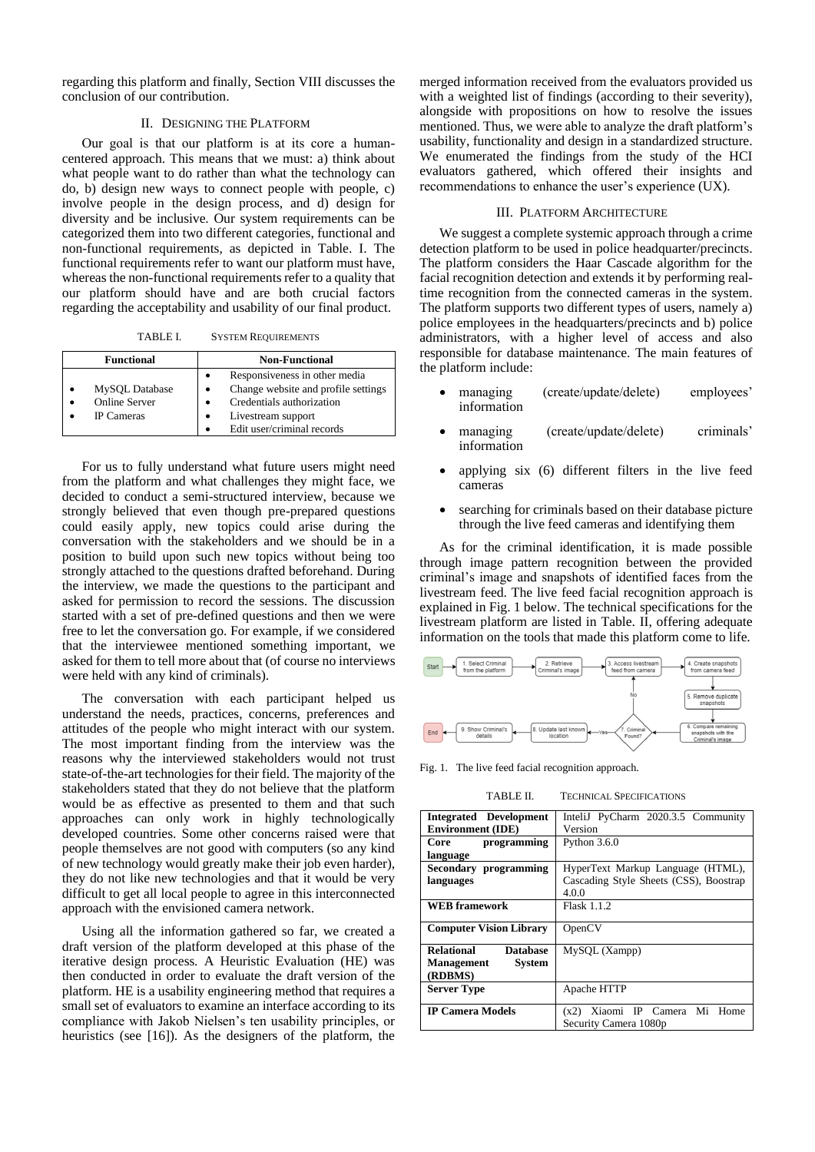regarding this platform and finally, Section VIII discusses the conclusion of our contribution.

## II. DESIGNING THE PLATFORM

Οur goal is that our platform is at its core a humancentered approach. This means that we must: a) think about what people want to do rather than what the technology can do, b) design new ways to connect people with people, c) involve people in the design process, and d) design for diversity and be inclusive. Our system requirements can be categorized them into two different categories, functional and non-functional requirements, as depicted in Table. I. The functional requirements refer to want our platform must have, whereas the non-functional requirements refer to a quality that our platform should have and are both crucial factors regarding the acceptability and usability of our final product.

TABLE I. SYSTEM REQUIREMENTS

| <b>Functional</b>                                    | <b>Non-Functional</b>                                                                                                                                 |  |  |  |  |  |
|------------------------------------------------------|-------------------------------------------------------------------------------------------------------------------------------------------------------|--|--|--|--|--|
| MySQL Database<br>Online Server<br><b>IP</b> Cameras | Responsiveness in other media<br>Change website and profile settings<br>Credentials authorization<br>Livestream support<br>Edit user/criminal records |  |  |  |  |  |

For us to fully understand what future users might need from the platform and what challenges they might face, we decided to conduct a semi-structured interview, because we strongly believed that even though pre-prepared questions could easily apply, new topics could arise during the conversation with the stakeholders and we should be in a position to build upon such new topics without being too strongly attached to the questions drafted beforehand. During the interview, we made the questions to the participant and asked for permission to record the sessions. The discussion started with a set of pre-defined questions and then we were free to let the conversation go. For example, if we considered that the interviewee mentioned something important, we asked for them to tell more about that (of course no interviews were held with any kind of criminals).

The conversation with each participant helped us understand the needs, practices, concerns, preferences and attitudes of the people who might interact with our system. The most important finding from the interview was the reasons why the interviewed stakeholders would not trust state-of-the-art technologies for their field. The majority of the stakeholders stated that they do not believe that the platform would be as effective as presented to them and that such approaches can only work in highly technologically developed countries. Some other concerns raised were that people themselves are not good with computers (so any kind of new technology would greatly make their job even harder), they do not like new technologies and that it would be very difficult to get all local people to agree in this interconnected approach with the envisioned camera network.

Using all the information gathered so far, we created a draft version of the platform developed at this phase of the iterative design process. A Heuristic Evaluation (HE) was then conducted in order to evaluate the draft version of the platform. HE is a usability engineering method that requires a small set of evaluators to examine an interface according to its compliance with Jakob Nielsen's ten usability principles, or heuristics (see [16]). As the designers of the platform, the

merged information received from the evaluators provided us with a weighted list of findings (according to their severity), alongside with propositions on how to resolve the issues mentioned. Thus, we were able to analyze the draft platform's usability, functionality and design in a standardized structure. We enumerated the findings from the study of the HCI evaluators gathered, which offered their insights and recommendations to enhance the user's experience (UX).

## III. PLATFORM ARCHITECTURE

We suggest a complete systemic approach through a crime detection platform to be used in police headquarter/precincts. The platform considers the Haar Cascade algorithm for the facial recognition detection and extends it by performing realtime recognition from the connected cameras in the system. The platform supports two different types of users, namely a) police employees in the headquarters/precincts and b) police administrators, with a higher level of access and also responsible for database maintenance. The main features of the platform include:

- managing (create/update/delete) employees' information
- managing (create/update/delete) criminals' information
- applying six (6) different filters in the live feed cameras
- searching for criminals based on their database picture through the live feed cameras and identifying them

As for the criminal identification, it is made possible through image pattern recognition between the provided criminal's image and snapshots of identified faces from the livestream feed. The live feed facial recognition approach is explained in Fig. 1 below. The technical specifications for the livestream platform are listed in Table. II, offering adequate information on the tools that made this platform come to life.



Fig. 1. The live feed facial recognition approach.

TABLE II. TECHNICAL SPECIFICATIONS

| <b>Integrated Development</b>  | InteliJ PyCharm 2020.3.5 Community     |  |  |  |  |  |  |
|--------------------------------|----------------------------------------|--|--|--|--|--|--|
| <b>Environment (IDE)</b>       | Version                                |  |  |  |  |  |  |
| Core<br>programming            | Python $3.6.0$                         |  |  |  |  |  |  |
| language                       |                                        |  |  |  |  |  |  |
| Secondary programming          | HyperText Markup Language (HTML),      |  |  |  |  |  |  |
| languages                      | Cascading Style Sheets (CSS), Boostrap |  |  |  |  |  |  |
|                                | 4.0.0                                  |  |  |  |  |  |  |
| <b>WEB</b> framework           | <b>Flask 1.1.2</b>                     |  |  |  |  |  |  |
|                                |                                        |  |  |  |  |  |  |
| <b>Computer Vision Library</b> | OpenCV                                 |  |  |  |  |  |  |
|                                |                                        |  |  |  |  |  |  |
| Relational<br><b>Database</b>  | MySQL (Xampp)                          |  |  |  |  |  |  |
| Management<br><b>System</b>    |                                        |  |  |  |  |  |  |
| (RDBMS)                        |                                        |  |  |  |  |  |  |
| <b>Server Type</b>             | Apache HTTP                            |  |  |  |  |  |  |
|                                |                                        |  |  |  |  |  |  |
| <b>IP Camera Models</b>        | Xiaomi IP Camera Mi Home<br>(x2)       |  |  |  |  |  |  |
|                                | Security Camera 1080p                  |  |  |  |  |  |  |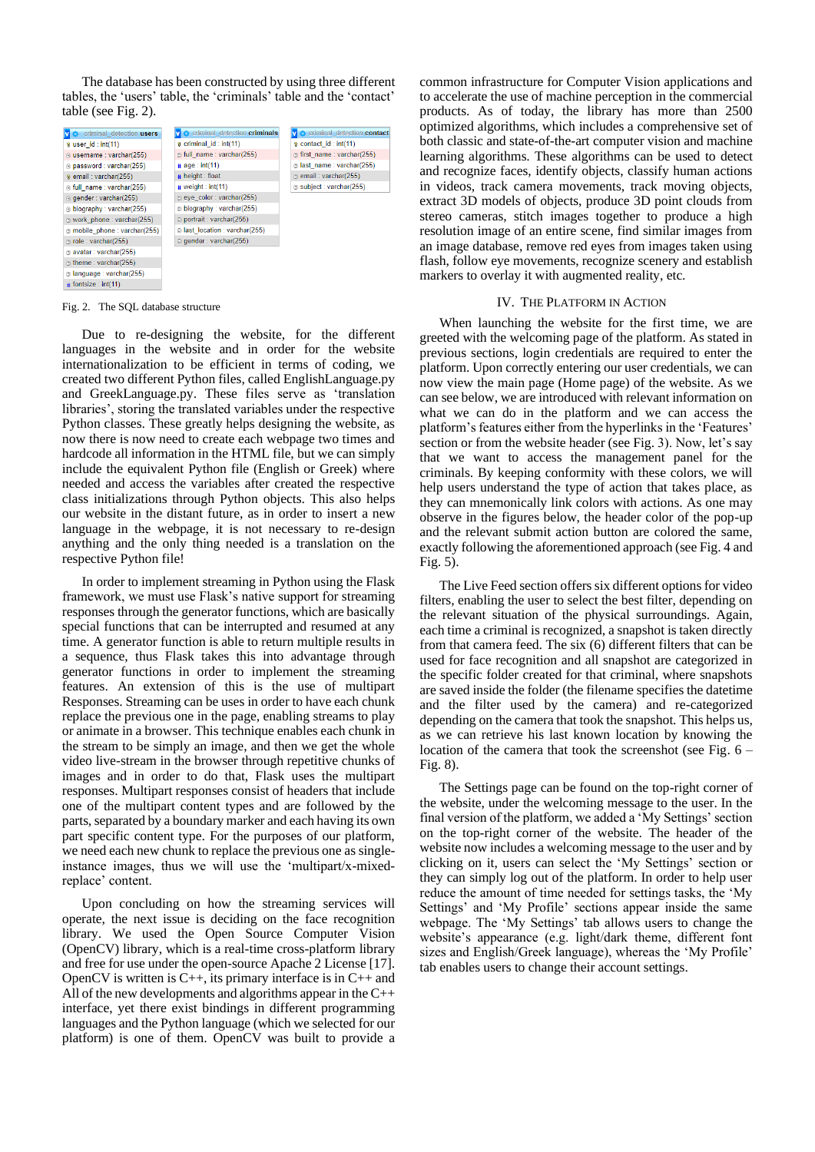The database has been constructed by using three different tables, the 'users' table, the 'criminals' table and the 'contact' table (see Fig. 2).

| criminal detection users      | criminal detection criminals   | <b>C</b> criminal detection contact |
|-------------------------------|--------------------------------|-------------------------------------|
| $\alpha$ user id: int(11)     | $\alpha$ criminal id: int(11)  | $\epsilon$ contact id: int(11)      |
| a username : varchar(255)     | full name: varchar(255)        | first name: varchar(255)            |
| g password : varchar(255)     | # age: int(11)                 | a last name: varchar(255)           |
| @ email: varchar(255)         | $#$ height : float             | e email: varchar(255)               |
| @ full_name : varchar(255)    | # weight : int(11)             | subject: varchar(255)               |
| g gender: varchar(255)        | e eye color: varchar(255)      |                                     |
| biography: varchar(255)       | biography: varchar(255)        |                                     |
| @ work phone : varchar(255)   | portrait: varchar(255)         |                                     |
| @ mobile phone : varchar(255) | a last location : varchar(255) |                                     |
| a role: varchar(255)          | g gender: varchar(255)         |                                     |
| a avatar: varchar(255)        |                                |                                     |
| theme: varchar(255)           |                                |                                     |
| a language : varchar(255)     |                                |                                     |
| $#$ fontsize : int(11)        |                                |                                     |

Fig. 2. The SQL database structure

Due to re-designing the website, for the different languages in the website and in order for the website internationalization to be efficient in terms of coding, we created two different Python files, called EnglishLanguage.py and GreekLanguage.py. These files serve as 'translation libraries', storing the translated variables under the respective Python classes. These greatly helps designing the website, as now there is now need to create each webpage two times and hardcode all information in the HTML file, but we can simply include the equivalent Python file (English or Greek) where needed and access the variables after created the respective class initializations through Python objects. This also helps our website in the distant future, as in order to insert a new language in the webpage, it is not necessary to re-design anything and the only thing needed is a translation on the respective Python file!

In order to implement streaming in Python using the Flask framework, we must use Flask's native support for streaming responses through the generator functions, which are basically special functions that can be interrupted and resumed at any time. A generator function is able to return multiple results in a sequence, thus Flask takes this into advantage through generator functions in order to implement the streaming features. An extension of this is the use of multipart Responses. Streaming can be uses in order to have each chunk replace the previous one in the page, enabling streams to play or animate in a browser. This technique enables each chunk in the stream to be simply an image, and then we get the whole video live-stream in the browser through repetitive chunks of images and in order to do that, Flask uses the multipart responses. Multipart responses consist of headers that include one of the multipart content types and are followed by the parts, separated by a boundary marker and each having its own part specific content type. For the purposes of our platform, we need each new chunk to replace the previous one as singleinstance images, thus we will use the 'multipart/x-mixedreplace' content.

Upon concluding on how the streaming services will operate, the next issue is deciding on the face recognition library. We used the Open Source Computer Vision (OpenCV) library, which is a real-time cross-platform library and free for use under the open-source Apache 2 License [17]. OpenCV is written is  $C_{++}$ , its primary interface is in  $C_{++}$  and All of the new developments and algorithms appear in the  $C++$ interface, yet there exist bindings in different programming languages and the Python language (which we selected for our platform) is one of them. OpenCV was built to provide a common infrastructure for Computer Vision applications and to accelerate the use of machine perception in the commercial products. As of today, the library has more than 2500 optimized algorithms, which includes a comprehensive set of both classic and state-of-the-art computer vision and machine learning algorithms. These algorithms can be used to detect and recognize faces, identify objects, classify human actions in videos, track camera movements, track moving objects, extract 3D models of objects, produce 3D point clouds from stereo cameras, stitch images together to produce a high resolution image of an entire scene, find similar images from an image database, remove red eyes from images taken using flash, follow eye movements, recognize scenery and establish markers to overlay it with augmented reality, etc.

#### IV. THE PLATFORM IN ACTION

When launching the website for the first time, we are greeted with the welcoming page of the platform. As stated in previous sections, login credentials are required to enter the platform. Upon correctly entering our user credentials, we can now view the main page (Home page) of the website. As we can see below, we are introduced with relevant information on what we can do in the platform and we can access the platform's features either from the hyperlinks in the 'Features' section or from the website header (see Fig. 3). Now, let's say that we want to access the management panel for the criminals. By keeping conformity with these colors, we will help users understand the type of action that takes place, as they can mnemonically link colors with actions. As one may observe in the figures below, the header color of the pop-up and the relevant submit action button are colored the same, exactly following the aforementioned approach (see Fig. 4 and Fig. 5).

The Live Feed section offers six different options for video filters, enabling the user to select the best filter, depending on the relevant situation of the physical surroundings. Again, each time a criminal is recognized, a snapshot is taken directly from that camera feed. The six (6) different filters that can be used for face recognition and all snapshot are categorized in the specific folder created for that criminal, where snapshots are saved inside the folder (the filename specifies the datetime and the filter used by the camera) and re-categorized depending on the camera that took the snapshot. This helps us, as we can retrieve his last known location by knowing the location of the camera that took the screenshot (see Fig. 6 – Fig. 8).

The Settings page can be found on the top-right corner of the website, under the welcoming message to the user. In the final version of the platform, we added a 'My Settings' section on the top-right corner of the website. The header of the website now includes a welcoming message to the user and by clicking on it, users can select the 'My Settings' section or they can simply log out of the platform. In order to help user reduce the amount of time needed for settings tasks, the 'My Settings' and 'My Profile' sections appear inside the same webpage. The 'My Settings' tab allows users to change the website's appearance (e.g. light/dark theme, different font sizes and English/Greek language), whereas the 'My Profile' tab enables users to change their account settings.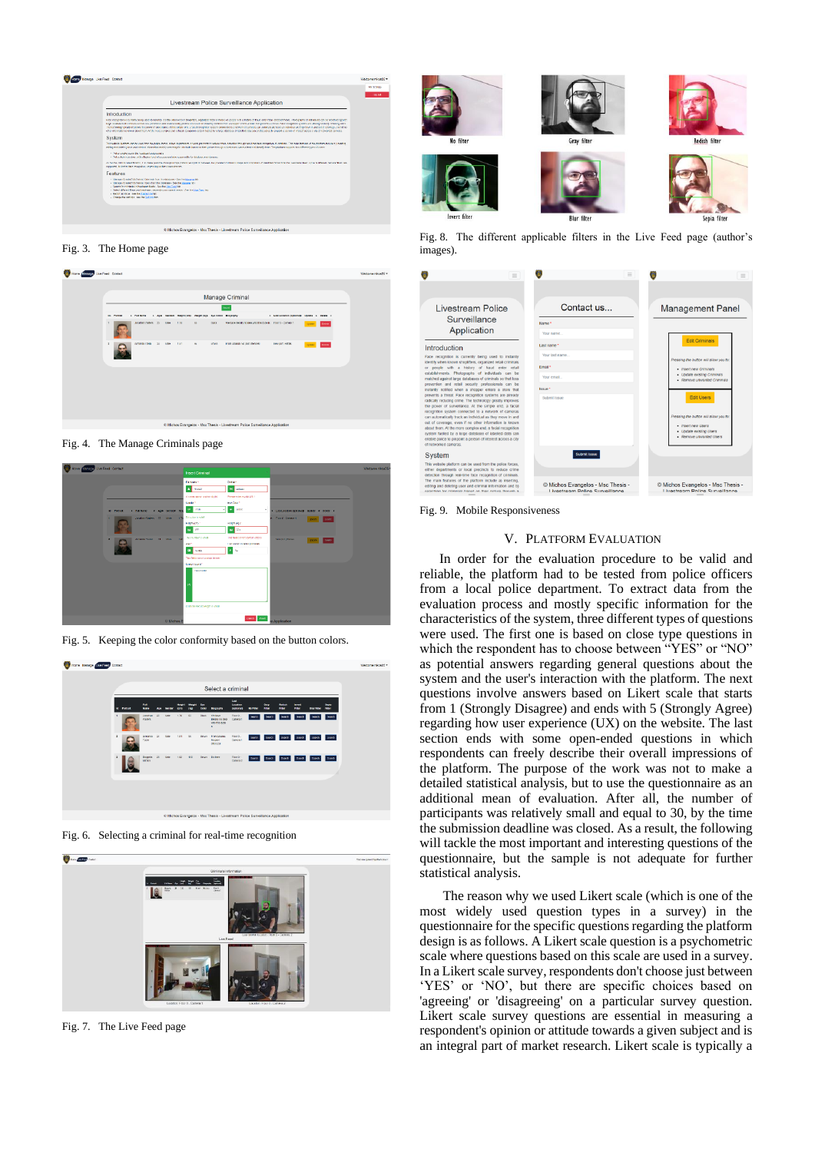

Fig. 3. The Home page

| 107 Home Disnage Live Feed Contact                                           |   |                             |  |                    |    |        |                                                   |                 |              |                                                              | Walcome nikas25 =                            |                 |       |  |  |  |
|------------------------------------------------------------------------------|---|-----------------------------|--|--------------------|----|--------|---------------------------------------------------|-----------------|--------------|--------------------------------------------------------------|----------------------------------------------|-----------------|-------|--|--|--|
|                                                                              |   |                             |  |                    |    |        |                                                   |                 |              |                                                              |                                              |                 |       |  |  |  |
|                                                                              |   | Manage Criminal             |  |                    |    |        |                                                   |                 |              |                                                              |                                              |                 |       |  |  |  |
|                                                                              |   | <b>Identified</b><br>Petrot |  | <b>6 FLE Name</b>  |    |        | Centes meght (cm) Weight (kg) Eye Colon Biography |                 |              | $_{\rm best}$                                                | + Last Location (optional) Update + Delate + |                 |       |  |  |  |
|                                                                              |   |                             |  | Jonathan United 25 |    | Male   | 5.78                                              | GS <sub>1</sub> | Disck        | We have identify no idea who this dude in Figur D - Dames 1. |                                              | <b>Losse</b>    | Oever |  |  |  |
|                                                                              | в |                             |  | ACCIDING 121400    | 24 | Miller | 1.81                                              | 95              | <b>BRAYE</b> | From Albanks, no past offences.                              | New port, Factas                             | <b>Up since</b> | Deke  |  |  |  |
|                                                                              |   |                             |  |                    |    |        |                                                   |                 |              |                                                              |                                              |                 |       |  |  |  |
|                                                                              |   |                             |  |                    |    |        |                                                   |                 |              |                                                              |                                              |                 |       |  |  |  |
|                                                                              |   |                             |  |                    |    |        |                                                   |                 |              |                                                              |                                              |                 |       |  |  |  |
|                                                                              |   |                             |  |                    |    |        |                                                   |                 |              |                                                              |                                              |                 |       |  |  |  |
| C Michos Evangelos - Msc Thesis - Livestream Police Surveillance Application |   |                             |  |                    |    |        |                                                   |                 |              |                                                              |                                              |                 |       |  |  |  |

Fig. 4. The Manage Criminals page



Fig. 5. Keeping the color conformity based on the button colors.



Fig. 6. Selecting a criminal for real-time recognition



Fig. 7. The Live Feed page













Fig. 8. The different applicable filters in the Live Feed page (author's images).



Fig. 9. Mobile Responsiveness

## V. PLATFORM EVALUATION

In order for the evaluation procedure to be valid and reliable, the platform had to be tested from police officers from a local police department. To extract data from the evaluation process and mostly specific information for the characteristics of the system, three different types of questions were used. The first one is based on close type questions in which the respondent has to choose between "YES" or "NO" as potential answers regarding general questions about the system and the user's interaction with the platform. The next questions involve answers based on Likert scale that starts from 1 (Strongly Disagree) and ends with 5 (Strongly Agree) regarding how user experience (UX) on the website. The last section ends with some open-ended questions in which respondents can freely describe their overall impressions of the platform. The purpose of the work was not to make a detailed statistical analysis, but to use the questionnaire as an additional mean of evaluation. After all, the number of participants was relatively small and equal to 30, by the time the submission deadline was closed. As a result, the following will tackle the most important and interesting questions of the questionnaire, but the sample is not adequate for further statistical analysis.

The reason why we used Likert scale (which is one of the most widely used question types in a survey) in the questionnaire for the specific questions regarding the platform design is as follows. A Likert scale question is a psychometric scale where questions based on this scale are used in a survey. In a Likert scale survey, respondents don't choose just between 'YES' or 'NO', but there are specific choices based on 'agreeing' or 'disagreeing' on a particular survey question. Likert scale survey questions are essential in measuring a respondent's opinion or attitude towards a given subject and is an integral part of market research. Likert scale is typically a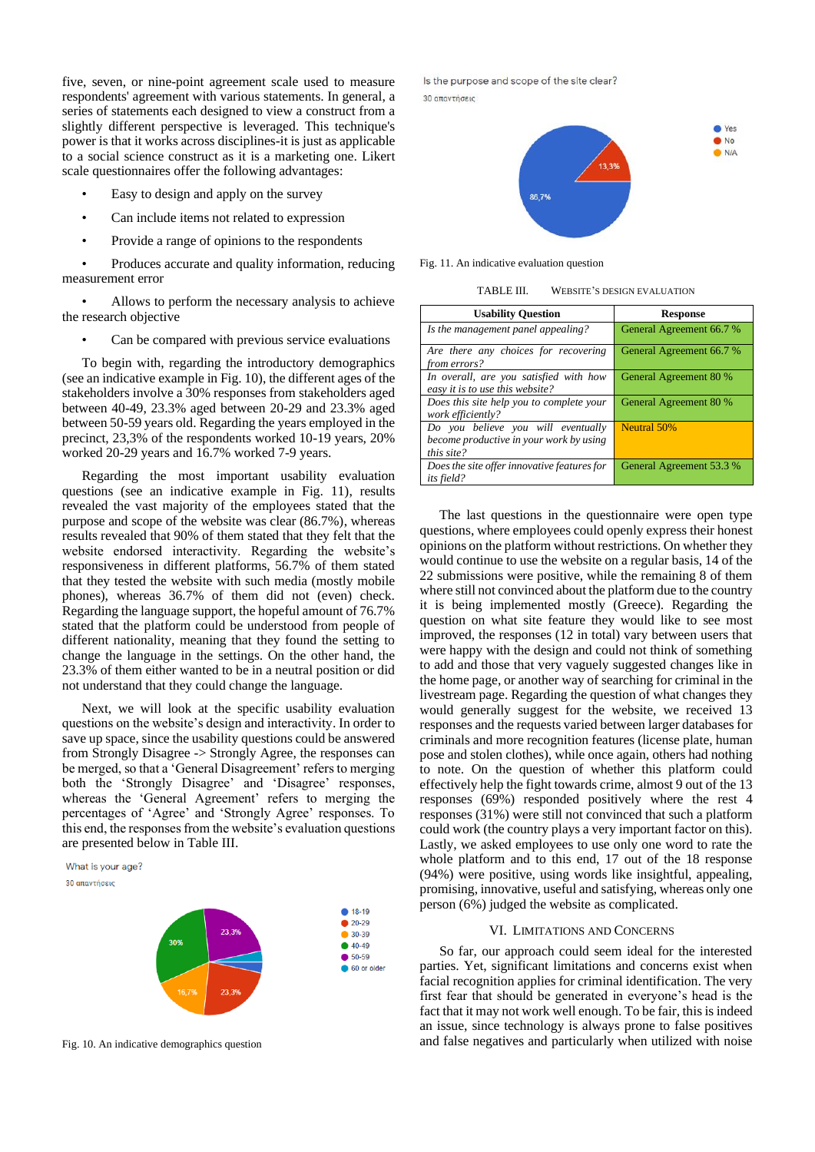five, seven, or nine-point agreement scale used to measure respondents' agreement with various statements. In general, a series of statements each designed to view a construct from a slightly different perspective is leveraged. This technique's power is that it works across disciplines-it is just as applicable to a social science construct as it is a marketing one. Likert scale questionnaires offer the following advantages:

- Easy to design and apply on the survey
- Can include items not related to expression
- Provide a range of opinions to the respondents

• Produces accurate and quality information, reducing measurement error

• Allows to perform the necessary analysis to achieve the research objective

Can be compared with previous service evaluations

To begin with, regarding the introductory demographics (see an indicative example in Fig. 10), the different ages of the stakeholders involve a 30% responses from stakeholders aged between 40-49, 23.3% aged between 20-29 and 23.3% aged between 50-59 years old. Regarding the years employed in the precinct, 23,3% of the respondents worked 10-19 years, 20% worked 20-29 years and 16.7% worked 7-9 years.

Regarding the most important usability evaluation questions (see an indicative example in Fig. 11), results revealed the vast majority of the employees stated that the purpose and scope of the website was clear (86.7%), whereas results revealed that 90% of them stated that they felt that the website endorsed interactivity. Regarding the website's responsiveness in different platforms, 56.7% of them stated that they tested the website with such media (mostly mobile phones), whereas 36.7% of them did not (even) check. Regarding the language support, the hopeful amount of 76.7% stated that the platform could be understood from people of different nationality, meaning that they found the setting to change the language in the settings. On the other hand, the 23.3% of them either wanted to be in a neutral position or did not understand that they could change the language.

Next, we will look at the specific usability evaluation questions on the website's design and interactivity. In order to save up space, since the usability questions could be answered from Strongly Disagree -> Strongly Agree, the responses can be merged, so that a 'General Disagreement' refers to merging both the 'Strongly Disagree' and 'Disagree' responses, whereas the 'General Agreement' refers to merging the percentages of 'Agree' and 'Strongly Agree' responses. To this end, the responses from the website's evaluation questions are presented below in Table III.

What is your age? 30 απαντήσεις



Fig. 10. An indicative demographics question

Is the purpose and scope of the site clear? 30 απαντήσεις



Fig. 11. An indicative evaluation question

TABLE III. WEBSITE'S DESIGN EVALUATION

| <b>Usability Question</b>                                                                   | <b>Response</b>          |  |  |  |  |  |  |
|---------------------------------------------------------------------------------------------|--------------------------|--|--|--|--|--|--|
| Is the management panel appealing?                                                          | General Agreement 66.7 % |  |  |  |  |  |  |
| Are there any choices for recovering<br>from errors?                                        | General Agreement 66.7 % |  |  |  |  |  |  |
| In overall, are you satisfied with how<br>easy it is to use this website?                   | General Agreement 80 %   |  |  |  |  |  |  |
| Does this site help you to complete your<br>work efficiently?                               | General Agreement 80 %   |  |  |  |  |  |  |
| Do you believe you will eventually<br>become productive in your work by using<br>this site? | Neutral 50%              |  |  |  |  |  |  |
| Does the site offer innovative features for<br><i>its field?</i>                            | General Agreement 53.3 % |  |  |  |  |  |  |

The last questions in the questionnaire were open type questions, where employees could openly express their honest opinions on the platform without restrictions. On whether they would continue to use the website on a regular basis, 14 of the 22 submissions were positive, while the remaining 8 of them where still not convinced about the platform due to the country it is being implemented mostly (Greece). Regarding the question on what site feature they would like to see most improved, the responses (12 in total) vary between users that were happy with the design and could not think of something to add and those that very vaguely suggested changes like in the home page, or another way of searching for criminal in the livestream page. Regarding the question of what changes they would generally suggest for the website, we received 13 responses and the requests varied between larger databases for criminals and more recognition features (license plate, human pose and stolen clothes), while once again, others had nothing to note. On the question of whether this platform could effectively help the fight towards crime, almost 9 out of the 13 responses (69%) responded positively where the rest 4 responses (31%) were still not convinced that such a platform could work (the country plays a very important factor on this). Lastly, we asked employees to use only one word to rate the whole platform and to this end, 17 out of the 18 response (94%) were positive, using words like insightful, appealing, promising, innovative, useful and satisfying, whereas only one person (6%) judged the website as complicated.

### VI. LIMITATIONS AND CONCERNS

So far, our approach could seem ideal for the interested parties. Yet, significant limitations and concerns exist when facial recognition applies for criminal identification. The very first fear that should be generated in everyone's head is the fact that it may not work well enough. To be fair, this is indeed an issue, since technology is always prone to false positives and false negatives and particularly when utilized with noise